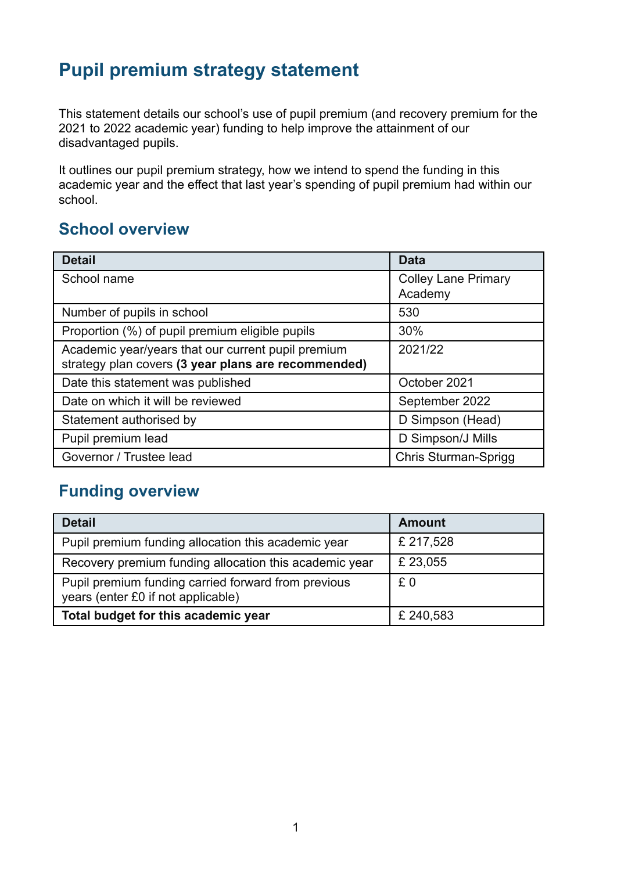# **Pupil premium strategy statement**

This statement details our school's use of pupil premium (and recovery premium for the 2021 to 2022 academic year) funding to help improve the attainment of our disadvantaged pupils.

It outlines our pupil premium strategy, how we intend to spend the funding in this academic year and the effect that last year's spending of pupil premium had within our school.

### **School overview**

| <b>Detail</b>                                                                                             | <b>Data</b>                           |
|-----------------------------------------------------------------------------------------------------------|---------------------------------------|
| School name                                                                                               | <b>Colley Lane Primary</b><br>Academy |
| Number of pupils in school                                                                                | 530                                   |
| Proportion (%) of pupil premium eligible pupils                                                           | 30%                                   |
| Academic year/years that our current pupil premium<br>strategy plan covers (3 year plans are recommended) | 2021/22                               |
| Date this statement was published                                                                         | October 2021                          |
| Date on which it will be reviewed                                                                         | September 2022                        |
| Statement authorised by                                                                                   | D Simpson (Head)                      |
| Pupil premium lead                                                                                        | D Simpson/J Mills                     |
| Governor / Trustee lead                                                                                   | <b>Chris Sturman-Sprigg</b>           |

## **Funding overview**

| <b>Detail</b>                                                                             | <b>Amount</b> |
|-------------------------------------------------------------------------------------------|---------------|
| Pupil premium funding allocation this academic year                                       | £ 217,528     |
| Recovery premium funding allocation this academic year                                    | £ 23,055      |
| Pupil premium funding carried forward from previous<br>years (enter £0 if not applicable) | £0            |
| Total budget for this academic year                                                       | £240,583      |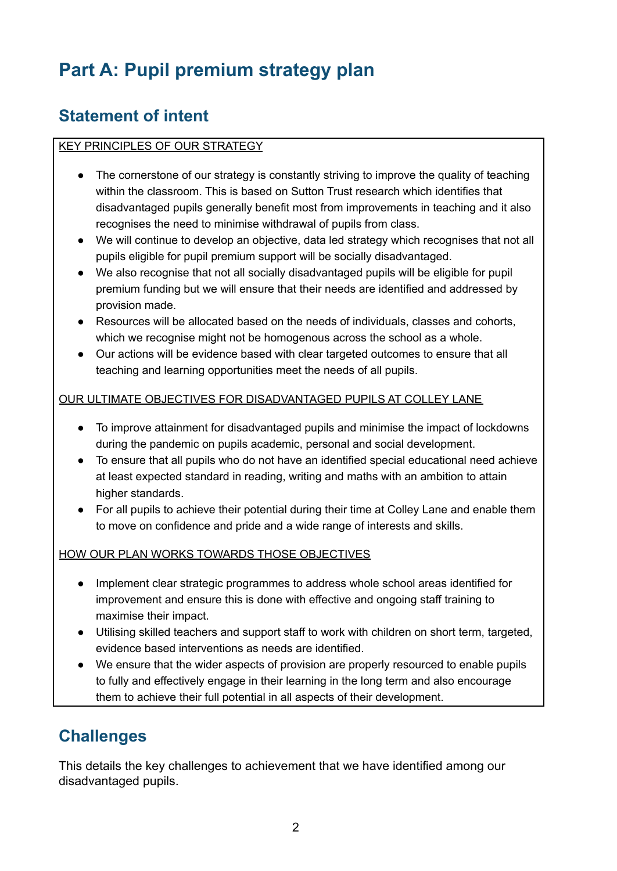# **Part A: Pupil premium strategy plan**

## **Statement of intent**

#### KEY PRINCIPLES OF OUR STRATEGY

- The cornerstone of our strategy is constantly striving to improve the quality of teaching within the classroom. This is based on Sutton Trust research which identifies that disadvantaged pupils generally benefit most from improvements in teaching and it also recognises the need to minimise withdrawal of pupils from class.
- We will continue to develop an objective, data led strategy which recognises that not all pupils eligible for pupil premium support will be socially disadvantaged.
- We also recognise that not all socially disadvantaged pupils will be eligible for pupil premium funding but we will ensure that their needs are identified and addressed by provision made.
- Resources will be allocated based on the needs of individuals, classes and cohorts, which we recognise might not be homogenous across the school as a whole.
- Our actions will be evidence based with clear targeted outcomes to ensure that all teaching and learning opportunities meet the needs of all pupils.

#### OUR ULTIMATE OBJECTIVES FOR DISADVANTAGED PUPILS AT COLLEY LANE

- To improve attainment for disadvantaged pupils and minimise the impact of lockdowns during the pandemic on pupils academic, personal and social development.
- To ensure that all pupils who do not have an identified special educational need achieve at least expected standard in reading, writing and maths with an ambition to attain higher standards.
- For all pupils to achieve their potential during their time at Colley Lane and enable them to move on confidence and pride and a wide range of interests and skills.

#### HOW OUR PLAN WORKS TOWARDS THOSE OBJECTIVES

- Implement clear strategic programmes to address whole school areas identified for improvement and ensure this is done with effective and ongoing staff training to maximise their impact.
- Utilising skilled teachers and support staff to work with children on short term, targeted, evidence based interventions as needs are identified.
- We ensure that the wider aspects of provision are properly resourced to enable pupils to fully and effectively engage in their learning in the long term and also encourage them to achieve their full potential in all aspects of their development.

## **Challenges**

This details the key challenges to achievement that we have identified among our disadvantaged pupils.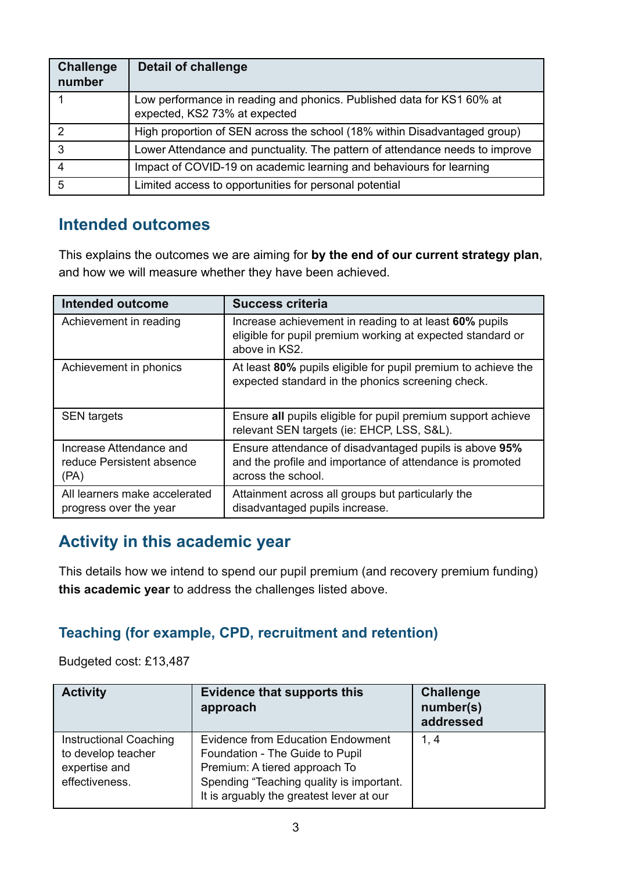| <b>Challenge</b><br>number | <b>Detail of challenge</b>                                                                             |
|----------------------------|--------------------------------------------------------------------------------------------------------|
|                            | Low performance in reading and phonics. Published data for KS1 60% at<br>expected, KS2 73% at expected |
| 2                          | High proportion of SEN across the school (18% within Disadvantaged group)                              |
| 3                          | Lower Attendance and punctuality. The pattern of attendance needs to improve                           |
|                            | Impact of COVID-19 on academic learning and behaviours for learning                                    |
| 5                          | Limited access to opportunities for personal potential                                                 |

### **Intended outcomes**

This explains the outcomes we are aiming for **by the end of our current strategy plan**, and how we will measure whether they have been achieved.

| <b>Intended outcome</b>                                      | <b>Success criteria</b>                                                                                                                  |
|--------------------------------------------------------------|------------------------------------------------------------------------------------------------------------------------------------------|
| Achievement in reading                                       | Increase achievement in reading to at least 60% pupils<br>eligible for pupil premium working at expected standard or<br>above in KS2.    |
| Achievement in phonics                                       | At least 80% pupils eligible for pupil premium to achieve the<br>expected standard in the phonics screening check.                       |
| <b>SEN</b> targets                                           | Ensure all pupils eligible for pupil premium support achieve<br>relevant SEN targets (ie: EHCP, LSS, S&L).                               |
| Increase Attendance and<br>reduce Persistent absence<br>(PA) | Ensure attendance of disadvantaged pupils is above 95%<br>and the profile and importance of attendance is promoted<br>across the school. |
| All learners make accelerated<br>progress over the year      | Attainment across all groups but particularly the<br>disadvantaged pupils increase.                                                      |

### **Activity in this academic year**

This details how we intend to spend our pupil premium (and recovery premium funding) **this academic year** to address the challenges listed above.

### **Teaching (for example, CPD, recruitment and retention)**

Budgeted cost: £13,487

| <b>Activity</b>                                                                        | <b>Evidence that supports this</b><br>approach                                                                                                                                                       | <b>Challenge</b><br>number(s)<br>addressed |
|----------------------------------------------------------------------------------------|------------------------------------------------------------------------------------------------------------------------------------------------------------------------------------------------------|--------------------------------------------|
| <b>Instructional Coaching</b><br>to develop teacher<br>expertise and<br>effectiveness. | <b>Evidence from Education Endowment</b><br>Foundation - The Guide to Pupil<br>Premium: A tiered approach To<br>Spending "Teaching quality is important.<br>It is arguably the greatest lever at our | 1, 4                                       |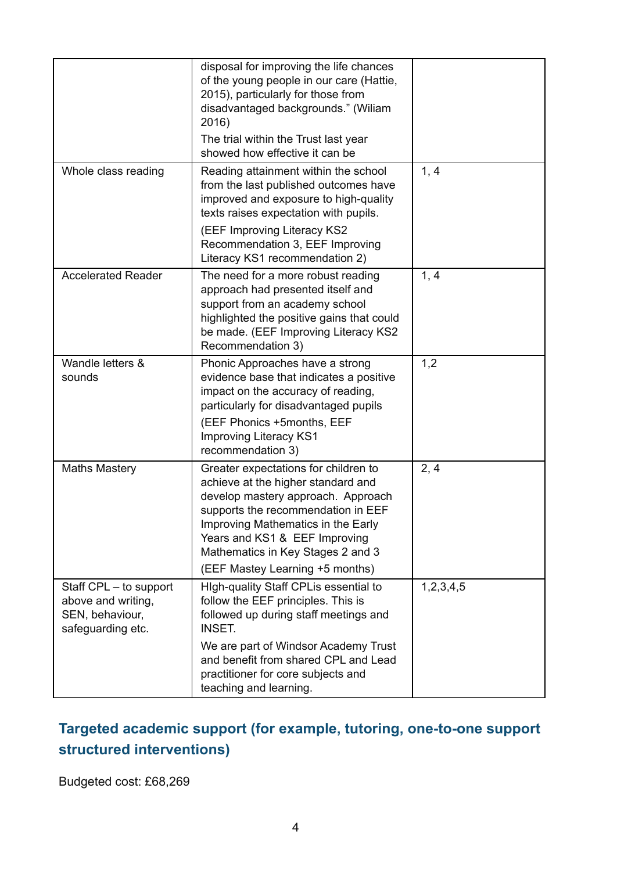|                                                                                      | disposal for improving the life chances<br>of the young people in our care (Hattie,<br>2015), particularly for those from<br>disadvantaged backgrounds." (Wiliam<br>2016)<br>The trial within the Trust last year<br>showed how effective it can be                                                   |           |
|--------------------------------------------------------------------------------------|-------------------------------------------------------------------------------------------------------------------------------------------------------------------------------------------------------------------------------------------------------------------------------------------------------|-----------|
| Whole class reading                                                                  | Reading attainment within the school<br>from the last published outcomes have<br>improved and exposure to high-quality<br>texts raises expectation with pupils.<br>(EEF Improving Literacy KS2<br>Recommendation 3, EEF Improving                                                                     | 1, 4      |
|                                                                                      | Literacy KS1 recommendation 2)                                                                                                                                                                                                                                                                        |           |
| <b>Accelerated Reader</b>                                                            | The need for a more robust reading<br>approach had presented itself and<br>support from an academy school<br>highlighted the positive gains that could<br>be made. (EEF Improving Literacy KS2<br>Recommendation 3)                                                                                   | 1, 4      |
| Wandle letters &<br>sounds                                                           | Phonic Approaches have a strong<br>evidence base that indicates a positive<br>impact on the accuracy of reading,<br>particularly for disadvantaged pupils<br>(EEF Phonics +5months, EEF<br><b>Improving Literacy KS1</b><br>recommendation 3)                                                         | 1,2       |
| <b>Maths Mastery</b>                                                                 | Greater expectations for children to<br>achieve at the higher standard and<br>develop mastery approach. Approach<br>supports the recommendation in EEF<br>Improving Mathematics in the Early<br>Years and KS1 & EEF Improving<br>Mathematics in Key Stages 2 and 3<br>(EEF Mastey Learning +5 months) | 2, 4      |
| Staff CPL - to support<br>above and writing,<br>SEN, behaviour,<br>safeguarding etc. | High-quality Staff CPLis essential to<br>follow the EEF principles. This is<br>followed up during staff meetings and<br><b>INSET.</b><br>We are part of Windsor Academy Trust<br>and benefit from shared CPL and Lead<br>practitioner for core subjects and<br>teaching and learning.                 | 1,2,3,4,5 |

### **Targeted academic support (for example, tutoring, one-to-one support structured interventions)**

Budgeted cost: £68,269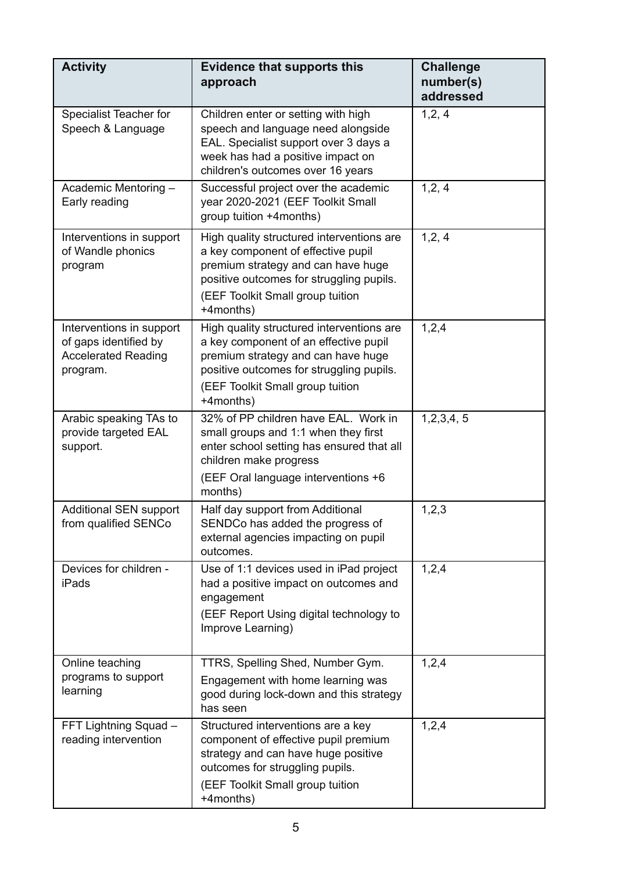| <b>Activity</b>                                                                             | <b>Evidence that supports this</b><br>approach                                                                                                                                                                        | <b>Challenge</b><br>number(s)<br>addressed |
|---------------------------------------------------------------------------------------------|-----------------------------------------------------------------------------------------------------------------------------------------------------------------------------------------------------------------------|--------------------------------------------|
| Specialist Teacher for<br>Speech & Language                                                 | Children enter or setting with high<br>speech and language need alongside<br>EAL. Specialist support over 3 days a<br>week has had a positive impact on<br>children's outcomes over 16 years                          | 1, 2, 4                                    |
| Academic Mentoring -<br>Early reading                                                       | Successful project over the academic<br>year 2020-2021 (EEF Toolkit Small<br>group tuition +4months)                                                                                                                  | 1,2,4                                      |
| Interventions in support<br>of Wandle phonics<br>program                                    | High quality structured interventions are<br>a key component of effective pupil<br>premium strategy and can have huge<br>positive outcomes for struggling pupils.<br>(EEF Toolkit Small group tuition<br>+4months)    | 1, 2, 4                                    |
| Interventions in support<br>of gaps identified by<br><b>Accelerated Reading</b><br>program. | High quality structured interventions are<br>a key component of an effective pupil<br>premium strategy and can have huge<br>positive outcomes for struggling pupils.<br>(EEF Toolkit Small group tuition<br>+4months) | 1,2,4                                      |
| Arabic speaking TAs to<br>provide targeted EAL<br>support.                                  | 32% of PP children have EAL. Work in<br>small groups and 1:1 when they first<br>enter school setting has ensured that all<br>children make progress<br>(EEF Oral language interventions +6<br>months)                 | 1,2,3,4,5                                  |
| <b>Additional SEN support</b><br>from qualified SENCo                                       | Half day support from Additional<br>SENDCo has added the progress of<br>external agencies impacting on pupil<br>outcomes.                                                                                             | 1,2,3                                      |
| Devices for children -<br><b>iPads</b>                                                      | Use of 1:1 devices used in iPad project<br>had a positive impact on outcomes and<br>engagement<br>(EEF Report Using digital technology to<br>Improve Learning)                                                        | 1,2,4                                      |
| Online teaching<br>programs to support<br>learning                                          | TTRS, Spelling Shed, Number Gym.<br>Engagement with home learning was<br>good during lock-down and this strategy<br>has seen                                                                                          | 1,2,4                                      |
| FFT Lightning Squad -<br>reading intervention                                               | Structured interventions are a key<br>component of effective pupil premium<br>strategy and can have huge positive<br>outcomes for struggling pupils.<br>(EEF Toolkit Small group tuition<br>+4months)                 | 1,2,4                                      |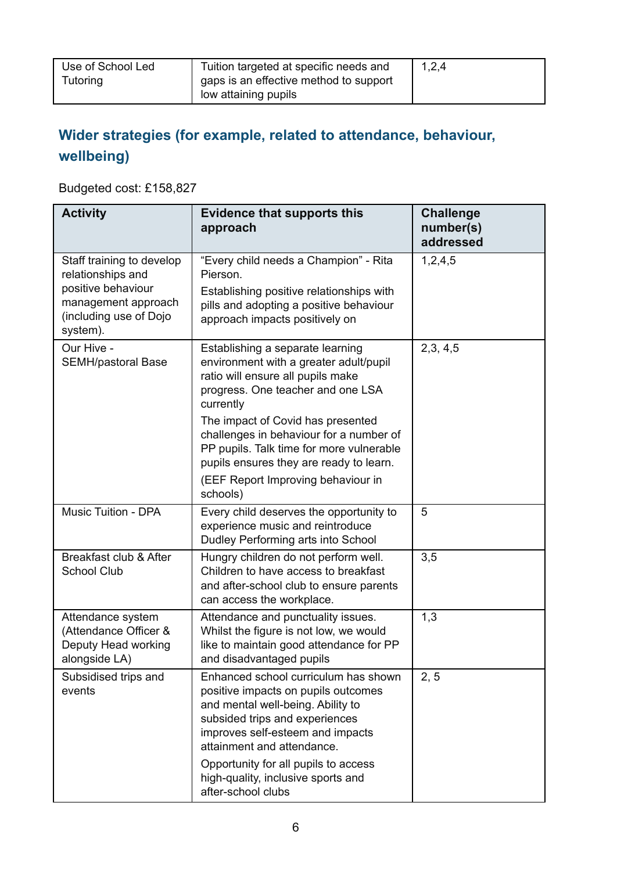## **Wider strategies (for example, related to attendance, behaviour, wellbeing)**

Budgeted cost: £158,827

| <b>Activity</b>                                                                                                                   | <b>Evidence that supports this</b><br>approach                                                                                                                                                                                                                                                                                                                                 | <b>Challenge</b><br>number(s)<br>addressed |
|-----------------------------------------------------------------------------------------------------------------------------------|--------------------------------------------------------------------------------------------------------------------------------------------------------------------------------------------------------------------------------------------------------------------------------------------------------------------------------------------------------------------------------|--------------------------------------------|
| Staff training to develop<br>relationships and<br>positive behaviour<br>management approach<br>(including use of Dojo<br>system). | "Every child needs a Champion" - Rita<br>Pierson.<br>Establishing positive relationships with<br>pills and adopting a positive behaviour<br>approach impacts positively on                                                                                                                                                                                                     | 1,2,4,5                                    |
| Our Hive -<br>SEMH/pastoral Base                                                                                                  | Establishing a separate learning<br>environment with a greater adult/pupil<br>ratio will ensure all pupils make<br>progress. One teacher and one LSA<br>currently<br>The impact of Covid has presented<br>challenges in behaviour for a number of<br>PP pupils. Talk time for more vulnerable<br>pupils ensures they are ready to learn.<br>(EEF Report Improving behaviour in | 2,3,4,5                                    |
| <b>Music Tuition - DPA</b>                                                                                                        | schools)<br>Every child deserves the opportunity to<br>experience music and reintroduce<br>Dudley Performing arts into School                                                                                                                                                                                                                                                  | 5                                          |
| Breakfast club & After<br><b>School Club</b>                                                                                      | Hungry children do not perform well.<br>Children to have access to breakfast<br>and after-school club to ensure parents<br>can access the workplace.                                                                                                                                                                                                                           | 3,5                                        |
| Attendance system<br>(Attendance Officer &<br>Deputy Head working<br>alongside LA)                                                | Attendance and punctuality issues.<br>Whilst the figure is not low, we would<br>like to maintain good attendance for PP<br>and disadvantaged pupils                                                                                                                                                                                                                            | 1,3                                        |
| Subsidised trips and<br>events                                                                                                    | Enhanced school curriculum has shown<br>positive impacts on pupils outcomes<br>and mental well-being. Ability to<br>subsided trips and experiences<br>improves self-esteem and impacts<br>attainment and attendance.<br>Opportunity for all pupils to access<br>high-quality, inclusive sports and<br>after-school clubs                                                       | 2, 5                                       |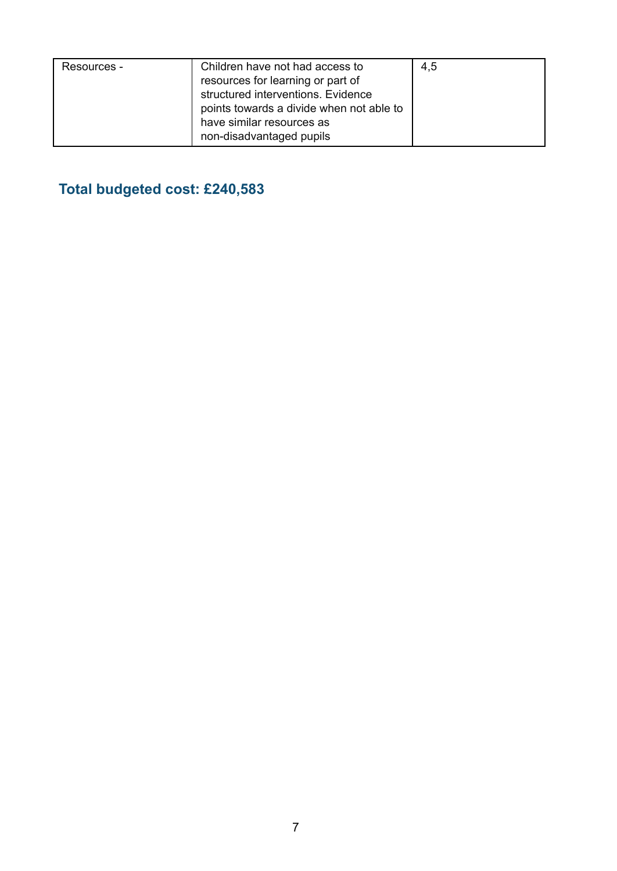| Resources - | Children have not had access to<br>resources for learning or part of<br>structured interventions. Evidence<br>points towards a divide when not able to<br>have similar resources as | 4,5 |
|-------------|-------------------------------------------------------------------------------------------------------------------------------------------------------------------------------------|-----|
|             | non-disadvantaged pupils                                                                                                                                                            |     |

### **Total budgeted cost: £240,583**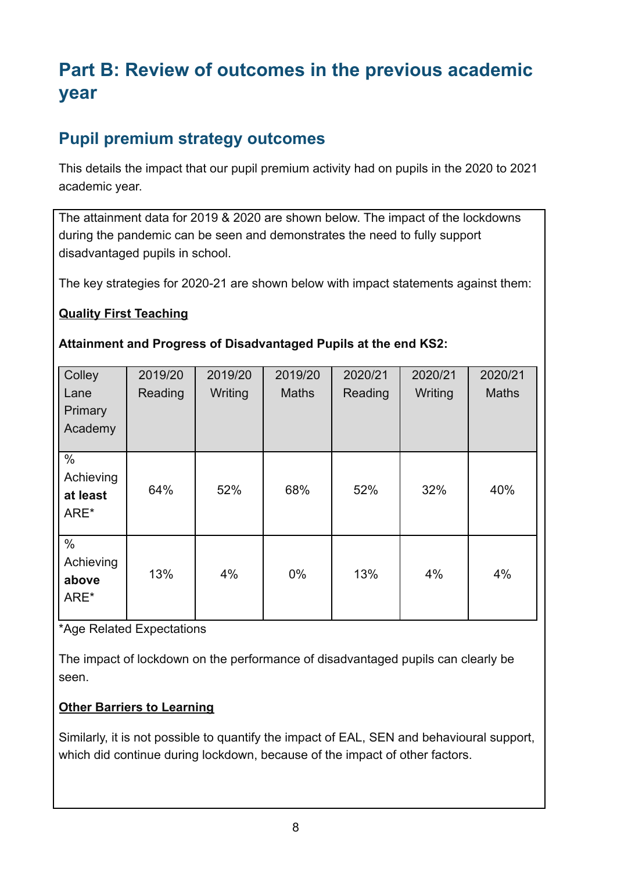# **Part B: Review of outcomes in the previous academic year**

## **Pupil premium strategy outcomes**

This details the impact that our pupil premium activity had on pupils in the 2020 to 2021 academic year.

The attainment data for 2019 & 2020 are shown below. The impact of the lockdowns during the pandemic can be seen and demonstrates the need to fully support disadvantaged pupils in school.

The key strategies for 2020-21 are shown below with impact statements against them:

### **Quality First Teaching**

#### **Attainment and Progress of Disadvantaged Pupils at the end KS2:**

| Colley<br>Lane<br>Primary<br>Academy  | 2019/20<br>Reading | 2019/20<br>Writing | 2019/20<br><b>Maths</b> | 2020/21<br>Reading | 2020/21<br>Writing | 2020/21<br><b>Maths</b> |
|---------------------------------------|--------------------|--------------------|-------------------------|--------------------|--------------------|-------------------------|
| $\%$<br>Achieving<br>at least<br>ARE* | 64%                | 52%                | 68%                     | 52%                | 32%                | 40%                     |
| $\%$<br>Achieving<br>above<br>ARE*    | 13%                | 4%                 | $0\%$                   | 13%                | 4%                 | 4%                      |

\*Age Related Expectations

The impact of lockdown on the performance of disadvantaged pupils can clearly be seen.

### **Other Barriers to Learning**

Similarly, it is not possible to quantify the impact of EAL, SEN and behavioural support, which did continue during lockdown, because of the impact of other factors.